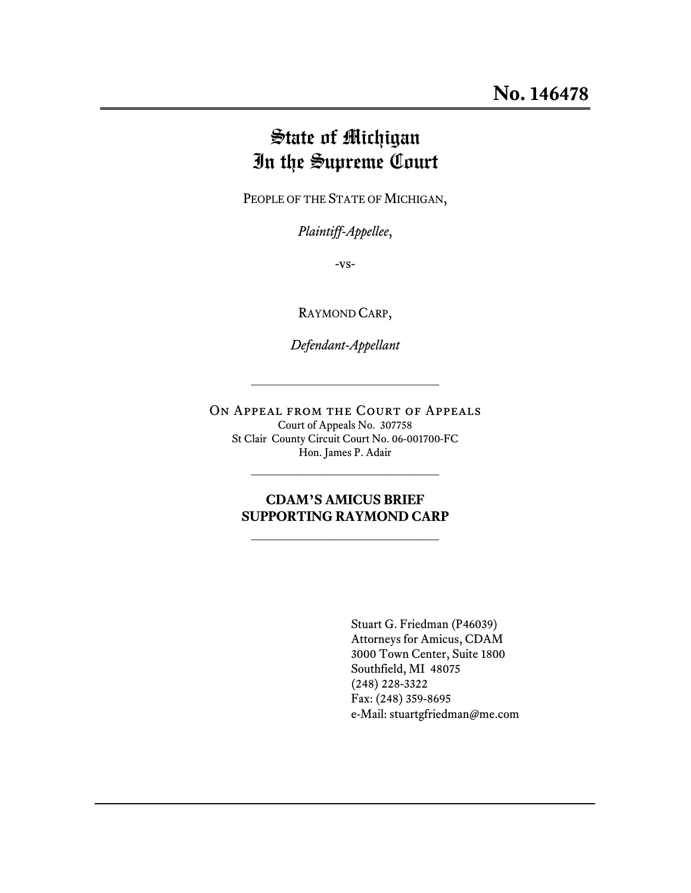# State of Michigan In the Supreme Court

PEOPLE OF THE STATE OF MICHIGAN,

*Plaintiff-Appellee*,

-vs-

RAYMOND CARP,

*Defendant-Appellant*

 $\overline{\phantom{a}}$  , where  $\overline{\phantom{a}}$  , where  $\overline{\phantom{a}}$  , where  $\overline{\phantom{a}}$  , where  $\overline{\phantom{a}}$ 

On Appeal from the Court of Appeals Court of Appeals No. 307758 St Clair County Circuit Court No. 06-001700-FC Hon. James P. Adair

 $\mathcal{L}_\text{max}$ 

### **CDAM'S AMICUS BRIEF SUPPORTING RAYMOND CARP**

 $\overline{\phantom{a}}$  , where  $\overline{\phantom{a}}$  , where  $\overline{\phantom{a}}$  , where  $\overline{\phantom{a}}$ 

Stuart G. Friedman (P46039) Attorneys for Amicus, CDAM 3000 Town Center, Suite 1800 Southfield, MI 48075 (248) 228-3322 Fax: (248) 359-8695 e-Mail: stuartgfriedman@me.com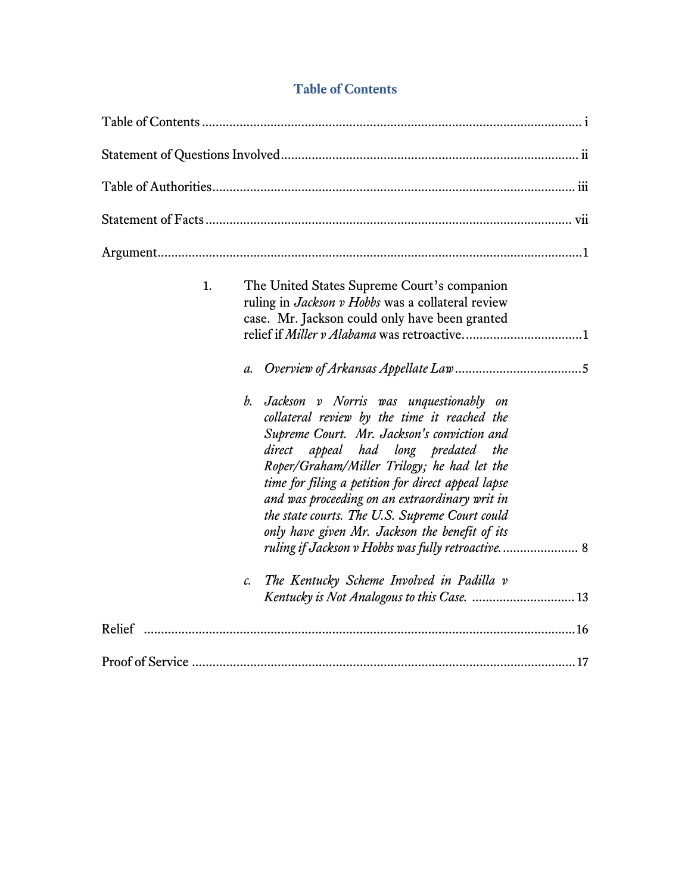| <b>Table of Contents</b> |  |
|--------------------------|--|
|--------------------------|--|

| 1.<br>$a$ .<br>b. | The United States Supreme Court's companion<br>ruling in Jackson v Hobbs was a collateral review<br>case. Mr. Jackson could only have been granted<br>Jackson v Norris was unquestionably on<br>collateral review by the time it reached the<br>Supreme Court. Mr. Jackson's conviction and<br>appeal had long predated the<br>direct<br>Roper/Graham/Miller Trilogy; he had let the<br>time for filing a petition for direct appeal lapse<br>and was proceeding on an extraordinary writ in<br>the state courts. The U.S. Supreme Court could<br>only have given Mr. Jackson the benefit of its<br>ruling if Jackson v Hobbs was fully retroactive 8 |
|-------------------|-------------------------------------------------------------------------------------------------------------------------------------------------------------------------------------------------------------------------------------------------------------------------------------------------------------------------------------------------------------------------------------------------------------------------------------------------------------------------------------------------------------------------------------------------------------------------------------------------------------------------------------------------------|
| c.                | The Kentucky Scheme Involved in Padilla v                                                                                                                                                                                                                                                                                                                                                                                                                                                                                                                                                                                                             |
|                   |                                                                                                                                                                                                                                                                                                                                                                                                                                                                                                                                                                                                                                                       |
|                   |                                                                                                                                                                                                                                                                                                                                                                                                                                                                                                                                                                                                                                                       |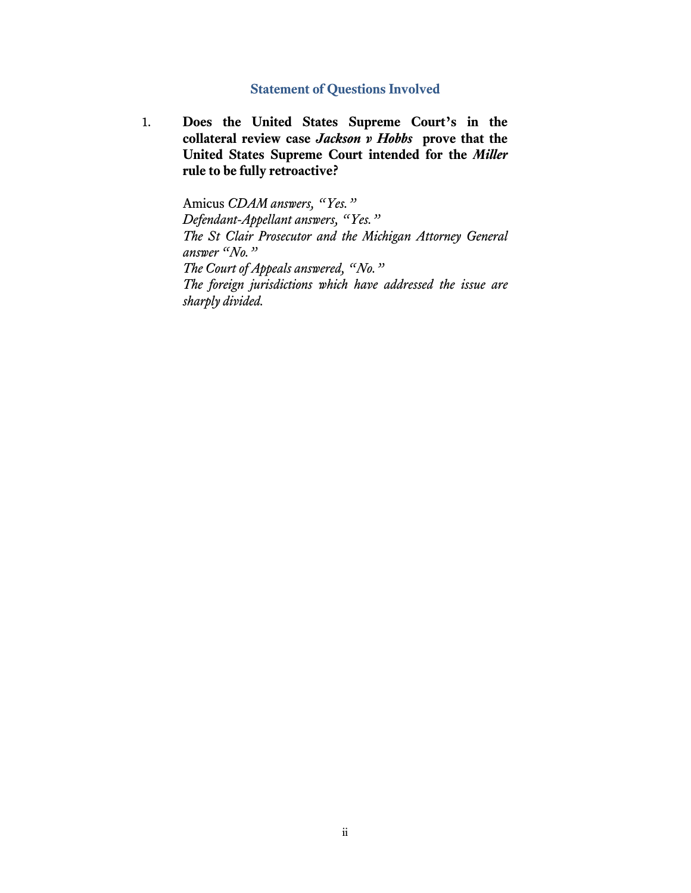### **Statement of Questions Involved**

1. **Does the United States Supreme Court's in the collateral review case** *Jackson v Hobbs* **prove that the United States Supreme Court intended for the** *Miller*  **rule to be fully retroactive?**

> Amicus *CDAM answers, "Yes." Defendant-Appellant answers, "Yes." The St Clair Prosecutor and the Michigan Attorney General answer "No." The Court of Appeals answered, "No." The foreign jurisdictions which have addressed the issue are sharply divided.*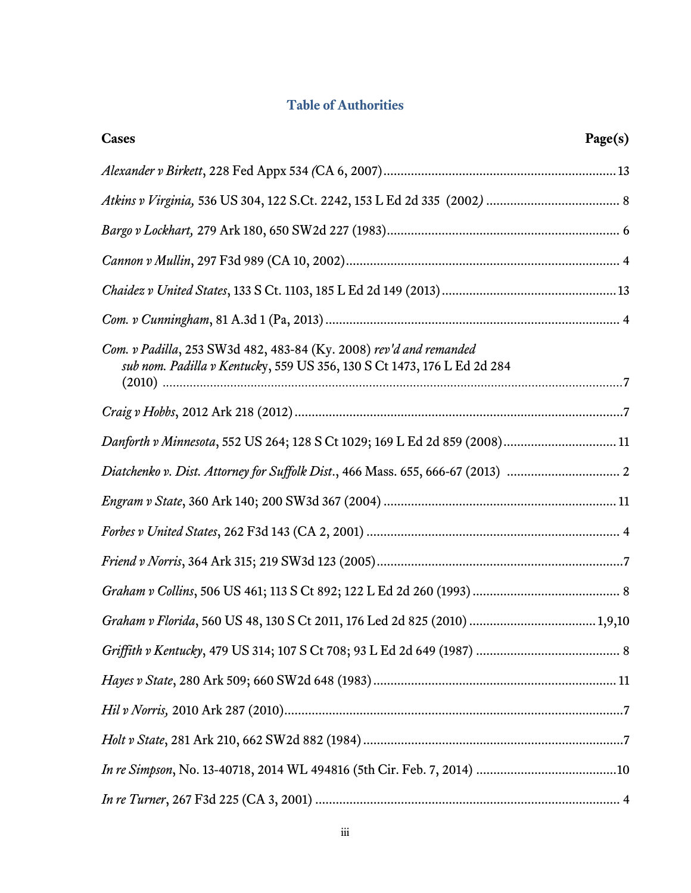# **Table of Authorities**

| Cases                                                                                                                                         | Page(s) |
|-----------------------------------------------------------------------------------------------------------------------------------------------|---------|
|                                                                                                                                               |         |
|                                                                                                                                               |         |
|                                                                                                                                               |         |
|                                                                                                                                               |         |
|                                                                                                                                               |         |
|                                                                                                                                               |         |
| Com. v Padilla, 253 SW3d 482, 483-84 (Ky. 2008) rev'd and remanded<br>sub nom. Padilla v Kentucky, 559 US 356, 130 S Ct 1473, 176 L Ed 2d 284 |         |
|                                                                                                                                               |         |
| Danforth v Minnesota, 552 US 264; 128 S Ct 1029; 169 L Ed 2d 859 (2008) 11                                                                    |         |
| Diatchenko v. Dist. Attorney for Suffolk Dist., 466 Mass. 655, 666-67 (2013)                                                                  |         |
|                                                                                                                                               |         |
|                                                                                                                                               |         |
|                                                                                                                                               |         |
|                                                                                                                                               |         |
|                                                                                                                                               |         |
|                                                                                                                                               |         |
|                                                                                                                                               |         |
|                                                                                                                                               |         |
|                                                                                                                                               |         |
|                                                                                                                                               |         |
|                                                                                                                                               |         |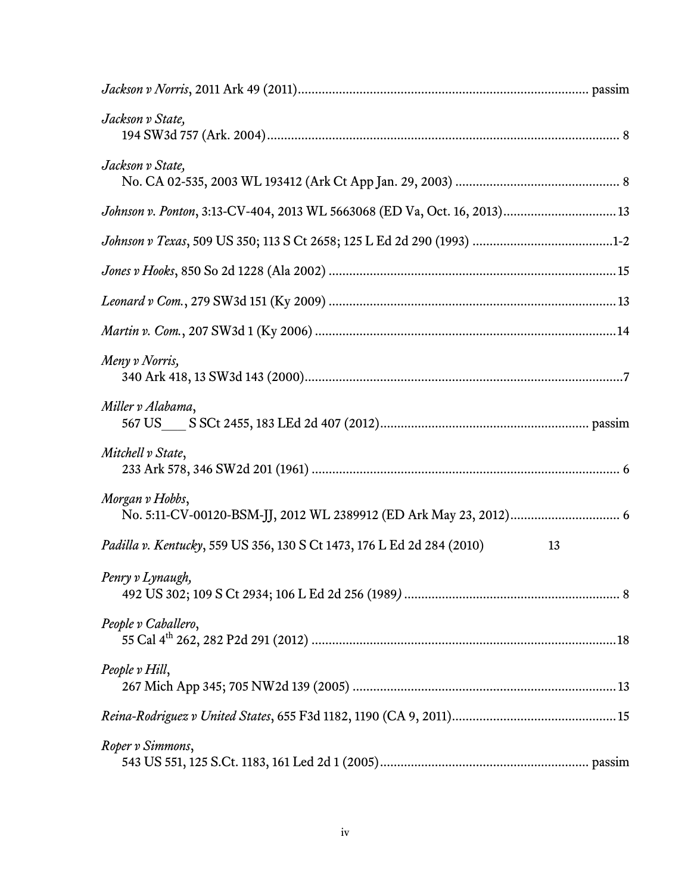| Jackson v State,                                                          |    |
|---------------------------------------------------------------------------|----|
| Jackson v State,                                                          |    |
| Johnson v. Ponton, 3:13-CV-404, 2013 WL 5663068 (ED Va, Oct. 16, 2013) 13 |    |
|                                                                           |    |
|                                                                           |    |
|                                                                           |    |
|                                                                           |    |
| Meny v Norris,                                                            |    |
| Miller v Alabama,                                                         |    |
| Mitchell v State,                                                         |    |
| Morgan v Hobbs,                                                           |    |
| Padilla v. Kentucky, 559 US 356, 130 S Ct 1473, 176 L Ed 2d 284 (2010)    | 13 |
| Penry v Lynaugh,                                                          |    |
| People v Caballero,                                                       |    |
| People v Hill,                                                            |    |
|                                                                           |    |
| Roper v Simmons,                                                          |    |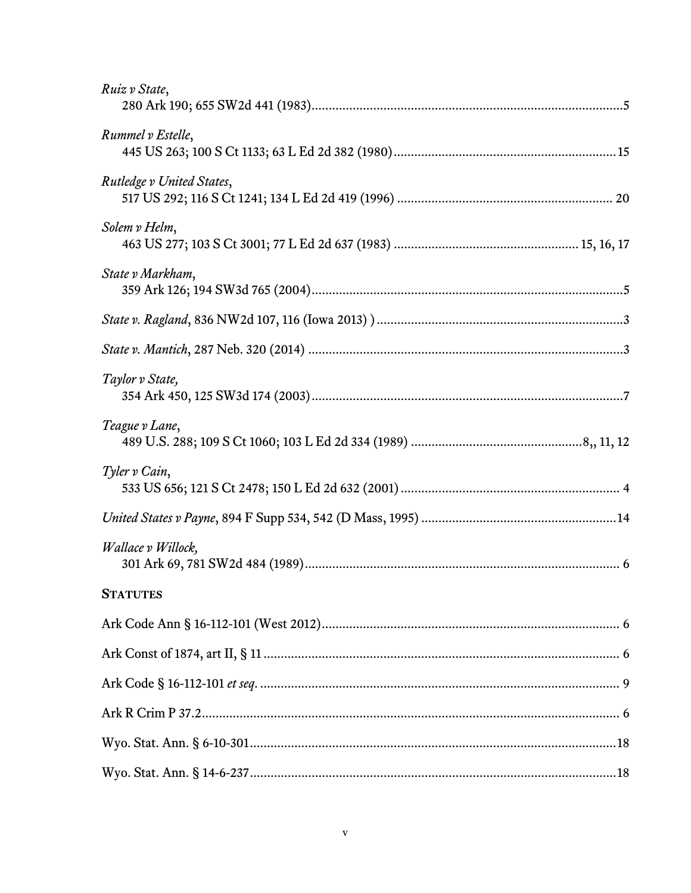| Ruiz v State,             |
|---------------------------|
| Rummel v Estelle,         |
| Rutledge v United States, |
| Solem v Helm,             |
| State v Markham,          |
|                           |
|                           |
| Taylor v State,           |
| Teague v Lane,            |
| Tyler v Cain,             |
|                           |
| Wallace v Willock,        |
| <b>STATUTES</b>           |
|                           |
|                           |
|                           |
|                           |
|                           |
|                           |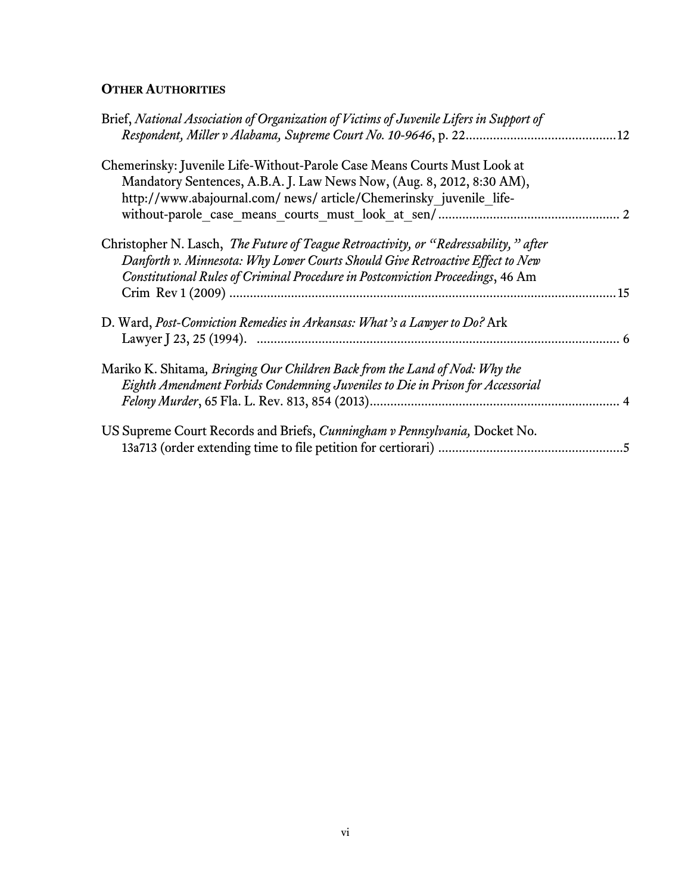# **OTHER AUTHORITIES**

| Brief, National Association of Organization of Victims of Juvenile Lifers in Support of |     |
|-----------------------------------------------------------------------------------------|-----|
| Chemerinsky: Juvenile Life-Without-Parole Case Means Courts Must Look at                |     |
| Mandatory Sentences, A.B.A. J. Law News Now, (Aug. 8, 2012, 8:30 AM),                   |     |
| http://www.abajournal.com/news/article/Chemerinsky juvenile life-                       |     |
|                                                                                         |     |
| Christopher N. Lasch, The Future of Teague Retroactivity, or "Redressability," after    |     |
| Danforth v. Minnesota: Why Lower Courts Should Give Retroactive Effect to New           |     |
| Constitutional Rules of Criminal Procedure in Postconviction Proceedings, 46 Am         |     |
|                                                                                         | .15 |
| D. Ward, Post-Conviction Remedies in Arkansas: What's a Lawyer to Do? Ark               |     |
|                                                                                         |     |
| Mariko K. Shitama, <i>Bringing Our Children Back from the Land of Nod: Why the</i>      |     |
|                                                                                         |     |
| Eighth Amendment Forbids Condemning Juveniles to Die in Prison for Accessorial          |     |
|                                                                                         |     |
| US Supreme Court Records and Briefs, Cunningham v Pennsylvania, Docket No.              |     |
|                                                                                         |     |
|                                                                                         |     |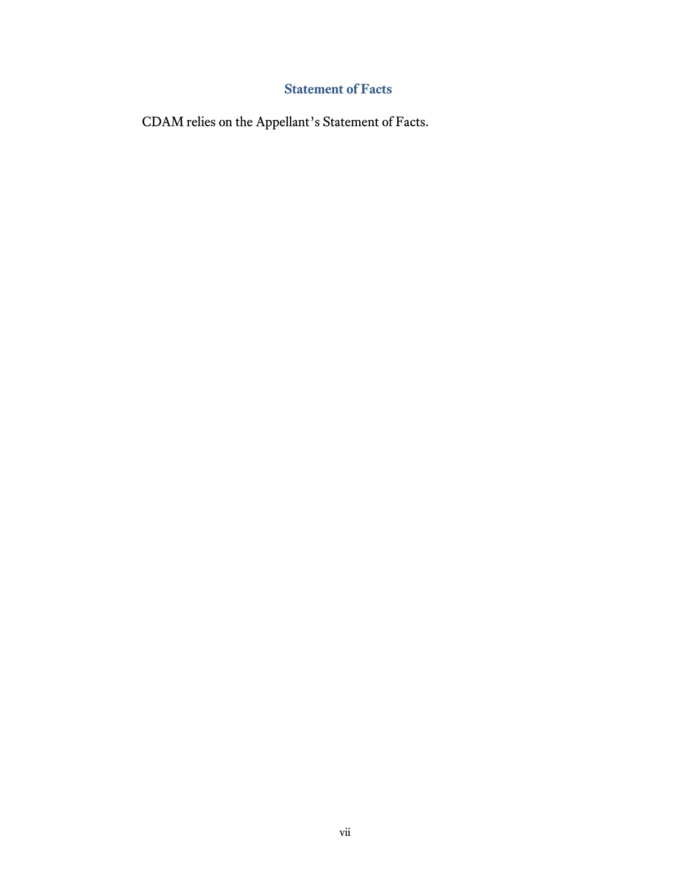# **Statement of Facts**

CDAM relies on the Appellant's Statement of Facts.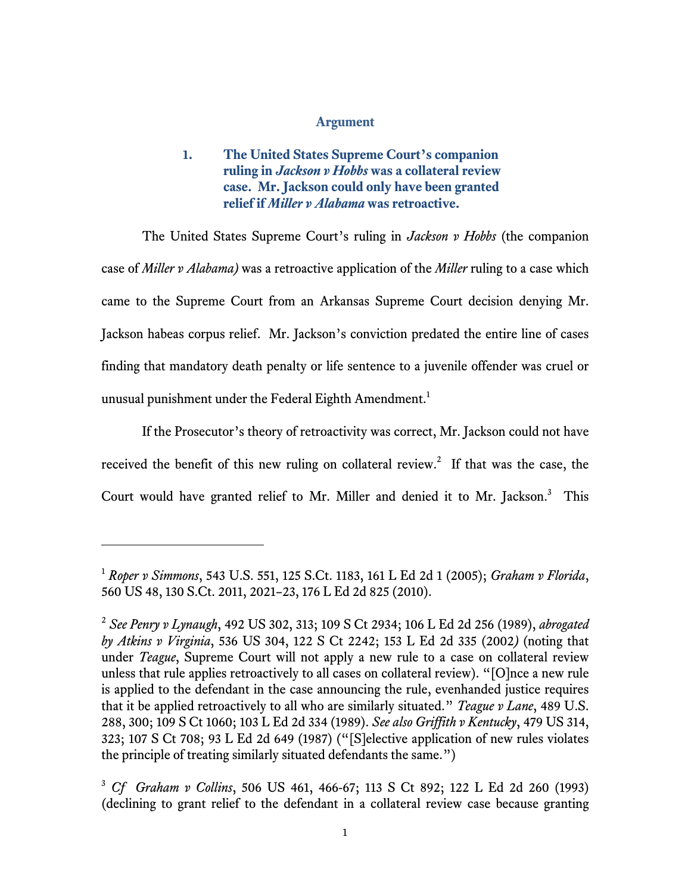#### **Argument**

**1. The United States Supreme Court's companion ruling in** *Jackson v Hobbs* **was a collateral review case. Mr. Jackson could only have been granted relief if** *Miller v Alabama* **was retroactive.** 

The United States Supreme Court's ruling in *Jackson v Hobbs* (the companion case of *Miller v Alabama)* was a retroactive application of the *Miller* ruling to a case which came to the Supreme Court from an Arkansas Supreme Court decision denying Mr. Jackson habeas corpus relief. Mr. Jackson's conviction predated the entire line of cases finding that mandatory death penalty or life sentence to a juvenile offender was cruel or unusual punishment under the Federal Eighth Amendment. $^1$ 

If the Prosecutor's theory of retroactivity was correct, Mr. Jackson could not have received the benefit of this new ruling on collateral review.<sup>2</sup> If that was the case, the Court would have granted relief to Mr. Miller and denied it to Mr. Jackson.<sup>3</sup> This

 $\overline{a}$ 

<sup>1</sup> *Roper v Simmons*, 543 U.S. 551, 125 S.Ct. 1183, 161 L Ed 2d 1 (2005); *Graham v Florida*, 560 US 48, 130 S.Ct. 2011, 2021–23, 176 L Ed 2d 825 (2010).

<sup>2</sup> *See Penry v Lynaugh*, 492 US 302, 313; 109 S Ct 2934; 106 L Ed 2d 256 (1989), *abrogated by Atkins v Virginia*, 536 US 304, 122 S Ct 2242; 153 L Ed 2d 335 (2002*)* (noting that under *Teague*, Supreme Court will not apply a new rule to a case on collateral review unless that rule applies retroactively to all cases on collateral review). "[O]nce a new rule is applied to the defendant in the case announcing the rule, evenhanded justice requires that it be applied retroactively to all who are similarly situated." *Teague v Lane*, 489 U.S. 288, 300; 109 S Ct 1060; 103 L Ed 2d 334 (1989). *See also Griffith v Kentucky*, 479 US 314, 323; 107 S Ct 708; 93 L Ed 2d 649 (1987) ("[S]elective application of new rules violates the principle of treating similarly situated defendants the same.")

<sup>3</sup> *Cf Graham v Collins*, 506 US 461, 466-67; 113 S Ct 892; 122 L Ed 2d 260 (1993) (declining to grant relief to the defendant in a collateral review case because granting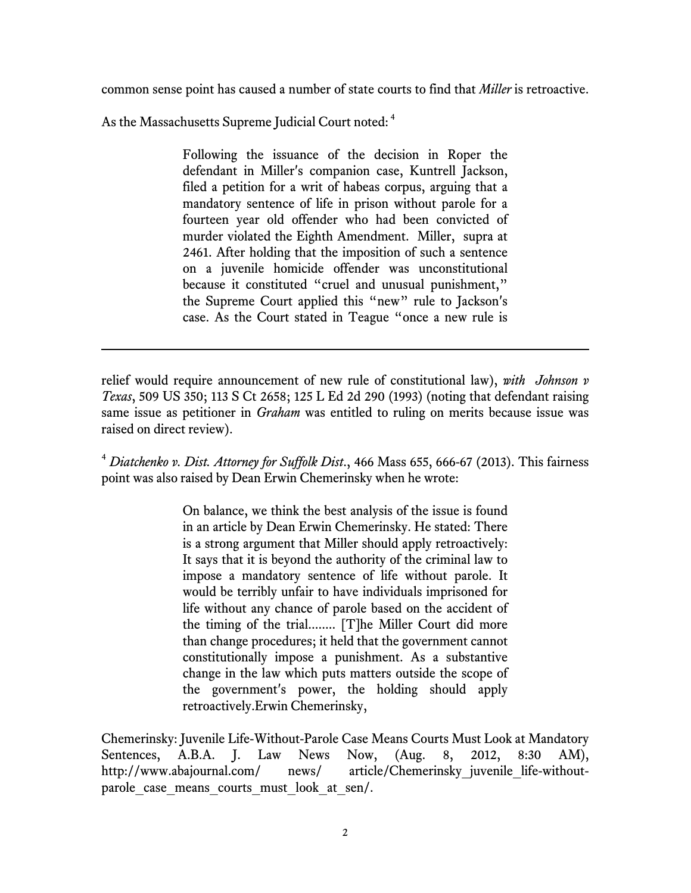common sense point has caused a number of state courts to find that *Miller* is retroactive.

As the Massachusetts Supreme Judicial Court noted: <sup>4</sup>

l

Following the issuance of the decision in Roper the defendant in Miller's companion case, Kuntrell Jackson, filed a petition for a writ of habeas corpus, arguing that a mandatory sentence of life in prison without parole for a fourteen year old offender who had been convicted of murder violated the Eighth Amendment. Miller, supra at 2461. After holding that the imposition of such a sentence on a juvenile homicide offender was unconstitutional because it constituted "cruel and unusual punishment," the Supreme Court applied this "new" rule to Jackson's case. As the Court stated in Teague "once a new rule is

relief would require announcement of new rule of constitutional law), *with Johnson v Texas*, 509 US 350; 113 S Ct 2658; 125 L Ed 2d 290 (1993) (noting that defendant raising same issue as petitioner in *Graham* was entitled to ruling on merits because issue was raised on direct review).

<sup>4</sup> *Diatchenko v. Dist. Attorney for Suffolk Dist*., 466 Mass 655, 666-67 (2013). This fairness point was also raised by Dean Erwin Chemerinsky when he wrote:

> On balance, we think the best analysis of the issue is found in an article by Dean Erwin Chemerinsky. He stated: There is a strong argument that Miller should apply retroactively: It says that it is beyond the authority of the criminal law to impose a mandatory sentence of life without parole. It would be terribly unfair to have individuals imprisoned for life without any chance of parole based on the accident of the timing of the trial........ [T]he Miller Court did more than change procedures; it held that the government cannot constitutionally impose a punishment. As a substantive change in the law which puts matters outside the scope of the government's power, the holding should apply retroactively.Erwin Chemerinsky,

Chemerinsky: Juvenile Life-Without-Parole Case Means Courts Must Look at Mandatory Sentences, A.B.A. J. Law News Now, (Aug. 8, 2012, 8:30 AM), http://www.abajournal.com/ news/ article/Chemerinsky juvenile life-withoutparole case means courts must look at sen/.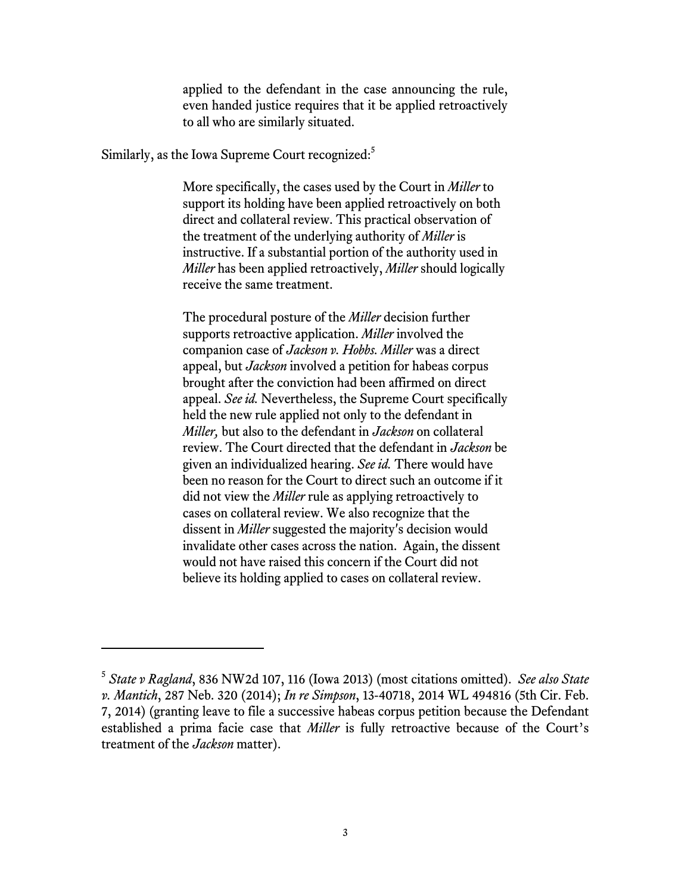applied to the defendant in the case announcing the rule, even handed justice requires that it be applied retroactively to all who are similarly situated.

Similarly, as the Iowa Supreme Court recognized:<sup>5</sup>

l

More specifically, the cases used by the Court in *Miller* to support its holding have been applied retroactively on both direct and collateral review. This practical observation of the treatment of the underlying authority of *Miller* is instructive. If a substantial portion of the authority used in *Miller* has been applied retroactively, *Miller* should logically receive the same treatment.

The procedural posture of the *Miller* decision further supports retroactive application. *Miller* involved the companion case of *Jackson v. Hobbs. Miller* was a direct appeal, but *Jackson* involved a petition for habeas corpus brought after the conviction had been affirmed on direct appeal. *See id.* Nevertheless, the Supreme Court specifically held the new rule applied not only to the defendant in *Miller,* but also to the defendant in *Jackson* on collateral review. The Court directed that the defendant in *Jackson* be given an individualized hearing. *See id.* There would have been no reason for the Court to direct such an outcome if it did not view the *Miller* rule as applying retroactively to cases on collateral review. We also recognize that the dissent in *Miller* suggested the majority's decision would invalidate other cases across the nation. Again, the dissent would not have raised this concern if the Court did not believe its holding applied to cases on collateral review.

<sup>5</sup> *State v Ragland*, 836 NW2d 107, 116 (Iowa 2013) (most citations omitted). *See also State v. Mantich*, 287 Neb. 320 (2014); *In re Simpson*, 13-40718, 2014 WL 494816 (5th Cir. Feb. 7, 2014) (granting leave to file a successive habeas corpus petition because the Defendant established a prima facie case that *Miller* is fully retroactive because of the Court's treatment of the *Jackson* matter).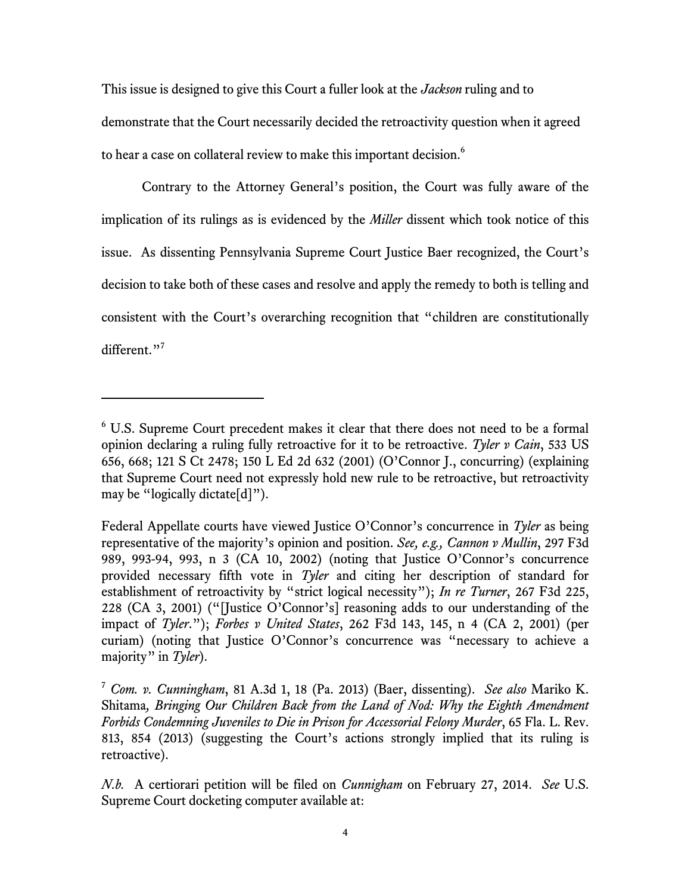This issue is designed to give this Court a fuller look at the *Jackson* ruling and to demonstrate that the Court necessarily decided the retroactivity question when it agreed to hear a case on collateral review to make this important decision.<sup>6</sup>

Contrary to the Attorney General's position, the Court was fully aware of the implication of its rulings as is evidenced by the *Miller* dissent which took notice of this issue. As dissenting Pennsylvania Supreme Court Justice Baer recognized, the Court's decision to take both of these cases and resolve and apply the remedy to both is telling and consistent with the Court's overarching recognition that "children are constitutionally different."<sup>7</sup>

 $6$  U.S. Supreme Court precedent makes it clear that there does not need to be a formal opinion declaring a ruling fully retroactive for it to be retroactive. *Tyler v Cain*, 533 US 656, 668; 121 S Ct 2478; 150 L Ed 2d 632 (2001) (O'Connor J., concurring) (explaining that Supreme Court need not expressly hold new rule to be retroactive, but retroactivity may be "logically dictate[d]").

Federal Appellate courts have viewed Justice O'Connor's concurrence in *Tyler* as being representative of the majority's opinion and position. *See, e.g., Cannon v Mullin*, 297 F3d 989, 993-94, 993, n 3 (CA 10, 2002) (noting that Justice O'Connor's concurrence provided necessary fifth vote in *Tyler* and citing her description of standard for establishment of retroactivity by "strict logical necessity"); *In re Turner*, 267 F3d 225, 228 (CA 3, 2001) ("[Justice O'Connor's] reasoning adds to our understanding of the impact of *Tyler*."); *Forbes v United States*, 262 F3d 143, 145, n 4 (CA 2, 2001) (per curiam) (noting that Justice O'Connor's concurrence was "necessary to achieve a majority" in *Tyler*).

<sup>7</sup> *Com. v. Cunningham*, 81 A.3d 1, 18 (Pa. 2013) (Baer, dissenting). *See also* Mariko K. Shitama*, Bringing Our Children Back from the Land of Nod: Why the Eighth Amendment Forbids Condemning Juveniles to Die in Prison for Accessorial Felony Murder*, 65 Fla. L. Rev. 813, 854 (2013) (suggesting the Court's actions strongly implied that its ruling is retroactive).

*N.b.* A certiorari petition will be filed on *Cunnigham* on February 27, 2014. *See* U.S. Supreme Court docketing computer available at: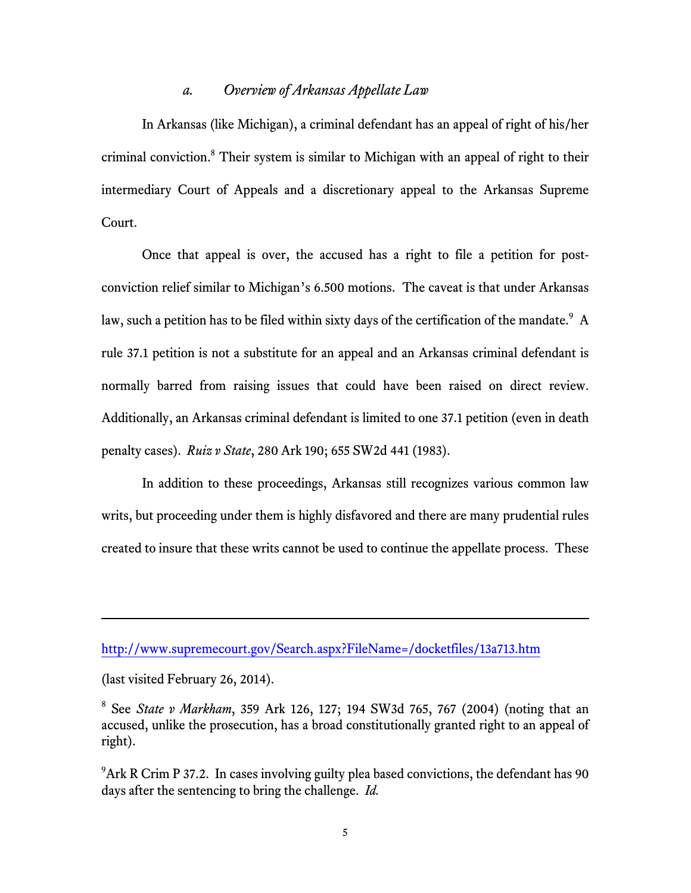#### *a. Overview of Arkansas Appellate Law*

In Arkansas (like Michigan), a criminal defendant has an appeal of right of his/her criminal conviction.<sup>8</sup> Their system is similar to Michigan with an appeal of right to their intermediary Court of Appeals and a discretionary appeal to the Arkansas Supreme Court.

Once that appeal is over, the accused has a right to file a petition for postconviction relief similar to Michigan's 6.500 motions. The caveat is that under Arkansas law, such a petition has to be filed within sixty days of the certification of the mandate. $^9\,$  A rule 37.1 petition is not a substitute for an appeal and an Arkansas criminal defendant is normally barred from raising issues that could have been raised on direct review. Additionally, an Arkansas criminal defendant is limited to one 37.1 petition (even in death penalty cases). *Ruiz v State*, 280 Ark 190; 655 SW2d 441 (1983).

In addition to these proceedings, Arkansas still recognizes various common law writs, but proceeding under them is highly disfavored and there are many prudential rules created to insure that these writs cannot be used to continue the appellate process. These

l

http://www.supremecourt.gov/Search.aspx?FileName=/docketfiles/13a713.htm

<sup>(</sup>last visited February 26, 2014).

<sup>8</sup> See *State v Markham*, 359 Ark 126, 127; 194 SW3d 765, 767 (2004) (noting that an accused, unlike the prosecution, has a broad constitutionally granted right to an appeal of right).

<sup>&</sup>lt;sup>9</sup>Ark R Crim P 37.2. In cases involving guilty plea based convictions, the defendant has 90 days after the sentencing to bring the challenge. *Id.*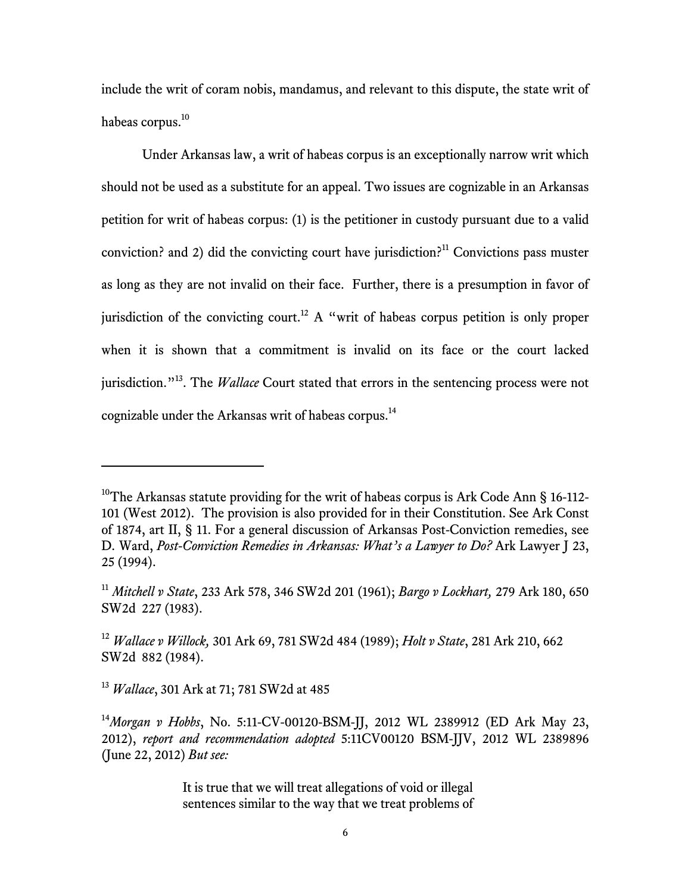include the writ of coram nobis, mandamus, and relevant to this dispute, the state writ of habeas corpus.<sup>10</sup>

Under Arkansas law, a writ of habeas corpus is an exceptionally narrow writ which should not be used as a substitute for an appeal. Two issues are cognizable in an Arkansas petition for writ of habeas corpus: (1) is the petitioner in custody pursuant due to a valid conviction? and 2) did the convicting court have jurisdiction?<sup>11</sup> Convictions pass muster as long as they are not invalid on their face. Further, there is a presumption in favor of jurisdiction of the convicting court.<sup>12</sup> A "writ of habeas corpus petition is only proper when it is shown that a commitment is invalid on its face or the court lacked jurisdiction."<sup>13</sup>. The *Wallace* Court stated that errors in the sentencing process were not cognizable under the Arkansas writ of habeas corpus.<sup>14</sup>

<sup>&</sup>lt;sup>10</sup>The Arkansas statute providing for the writ of habeas corpus is Ark Code Ann § 16-112-101 (West 2012). The provision is also provided for in their Constitution. See Ark Const of 1874, art II, § 11. For a general discussion of Arkansas Post-Conviction remedies, see D. Ward, *Post-Conviction Remedies in Arkansas: What's a Lawyer to Do?* Ark Lawyer J 23, 25 (1994).

<sup>11</sup> *Mitchell v State*, 233 Ark 578, 346 SW2d 201 (1961); *Bargo v Lockhart,* 279 Ark 180, 650 SW2d 227 (1983).

<sup>12</sup> *Wallace v Willock,* 301 Ark 69, 781 SW2d 484 (1989); *Holt v State*, 281 Ark 210, 662 SW2d 882 (1984).

<sup>13</sup> *Wallace*, 301 Ark at 71; 781 SW2d at 485

<sup>14</sup>*Morgan v Hobbs*, No. 5:11-CV-00120-BSM-JJ, 2012 WL 2389912 (ED Ark May 23, 2012), *report and recommendation adopted* 5:11CV00120 BSM-JJV, 2012 WL 2389896 (June 22, 2012) *But see:*

It is true that we will treat allegations of void or illegal sentences similar to the way that we treat problems of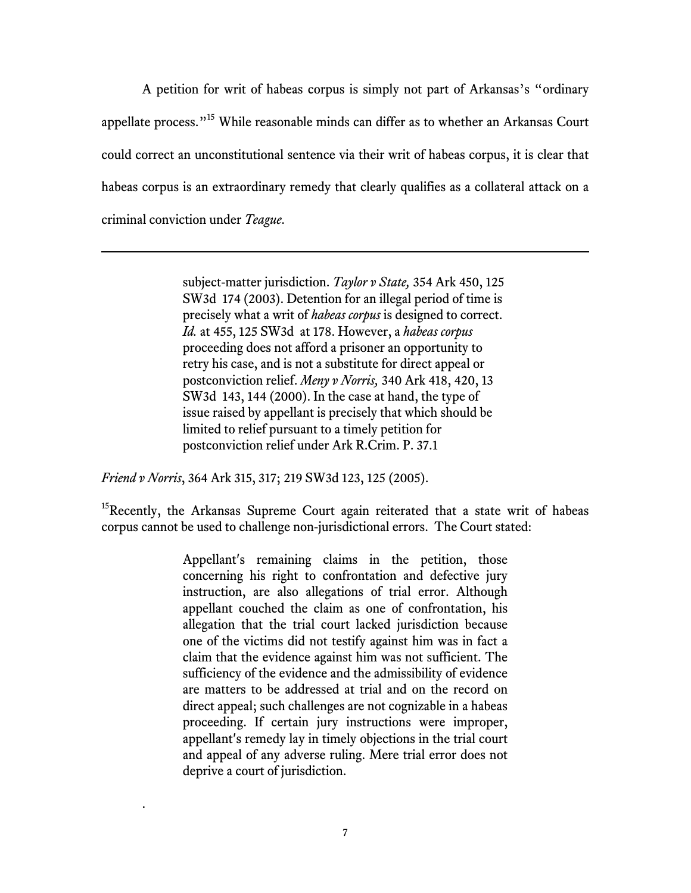A petition for writ of habeas corpus is simply not part of Arkansas's "ordinary appellate process."<sup>15</sup> While reasonable minds can differ as to whether an Arkansas Court could correct an unconstitutional sentence via their writ of habeas corpus, it is clear that habeas corpus is an extraordinary remedy that clearly qualifies as a collateral attack on a criminal conviction under *Teague*.

> subject-matter jurisdiction. *Taylor v State,* 354 Ark 450, 125 SW3d 174 (2003). Detention for an illegal period of time is precisely what a writ of *habeas corpus* is designed to correct. *Id.* at 455, 125 SW3d at 178. However, a *habeas corpus* proceeding does not afford a prisoner an opportunity to retry his case, and is not a substitute for direct appeal or postconviction relief. *Meny v Norris,* 340 Ark 418, 420, 13 SW3d 143, 144 (2000). In the case at hand, the type of issue raised by appellant is precisely that which should be limited to relief pursuant to a timely petition for postconviction relief under Ark R.Crim. P. 37.1

*Friend v Norris*, 364 Ark 315, 317; 219 SW3d 123, 125 (2005).

.

.

<sup>15</sup>Recently, the Arkansas Supreme Court again reiterated that a state writ of habeas corpus cannot be used to challenge non-jurisdictional errors. The Court stated:

> Appellant's remaining claims in the petition, those concerning his right to confrontation and defective jury instruction, are also allegations of trial error. Although appellant couched the claim as one of confrontation, his allegation that the trial court lacked jurisdiction because one of the victims did not testify against him was in fact a claim that the evidence against him was not sufficient. The sufficiency of the evidence and the admissibility of evidence are matters to be addressed at trial and on the record on direct appeal; such challenges are not cognizable in a habeas proceeding. If certain jury instructions were improper, appellant's remedy lay in timely objections in the trial court and appeal of any adverse ruling. Mere trial error does not deprive a court of jurisdiction.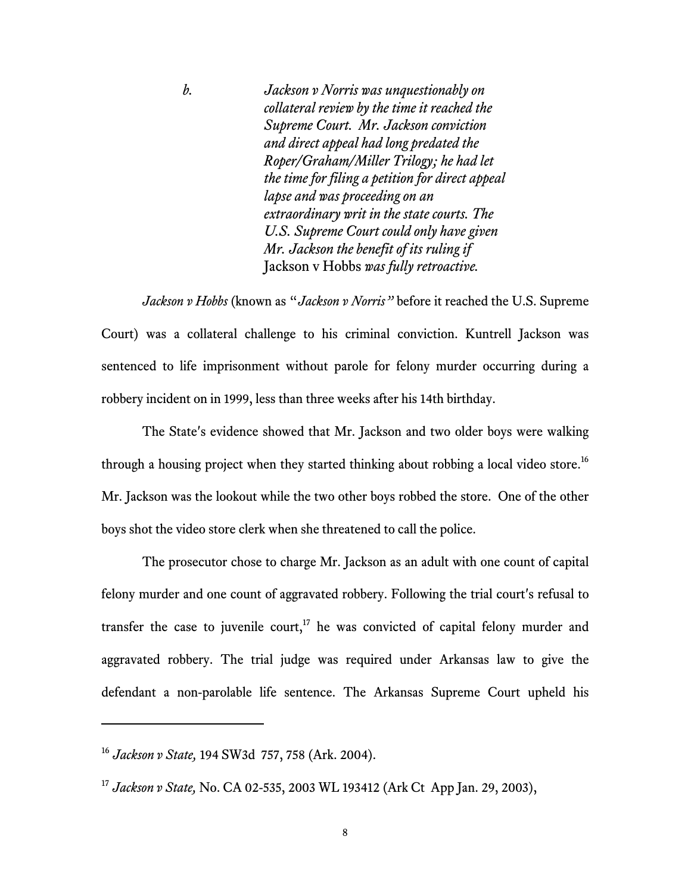*b. Jackson v Norris was unquestionably on collateral review by the time it reached the Supreme Court. Mr. Jackson conviction and direct appeal had long predated the Roper/Graham/Miller Trilogy; he had let the time for filing a petition for direct appeal lapse and was proceeding on an extraordinary writ in the state courts. The U.S. Supreme Court could only have given Mr. Jackson the benefit of its ruling if*  Jackson v Hobbs *was fully retroactive.*

*Jackson v Hobbs* (known as "*Jackson v Norris"* before it reached the U.S. Supreme Court) was a collateral challenge to his criminal conviction. Kuntrell Jackson was sentenced to life imprisonment without parole for felony murder occurring during a robbery incident on in 1999, less than three weeks after his 14th birthday.

The State's evidence showed that Mr. Jackson and two older boys were walking through a housing project when they started thinking about robbing a local video store.<sup>16</sup> Mr. Jackson was the lookout while the two other boys robbed the store. One of the other boys shot the video store clerk when she threatened to call the police.

The prosecutor chose to charge Mr. Jackson as an adult with one count of capital felony murder and one count of aggravated robbery. Following the trial court's refusal to transfer the case to juvenile court,<sup>17</sup> he was convicted of capital felony murder and aggravated robbery. The trial judge was required under Arkansas law to give the defendant a non-parolable life sentence. The Arkansas Supreme Court upheld his

<sup>16</sup> *Jackson v State,* 194 SW3d 757, 758 (Ark. 2004).

<sup>17</sup> *Jackson v State,* No. CA 02-535, 2003 WL 193412 (Ark Ct App Jan. 29, 2003),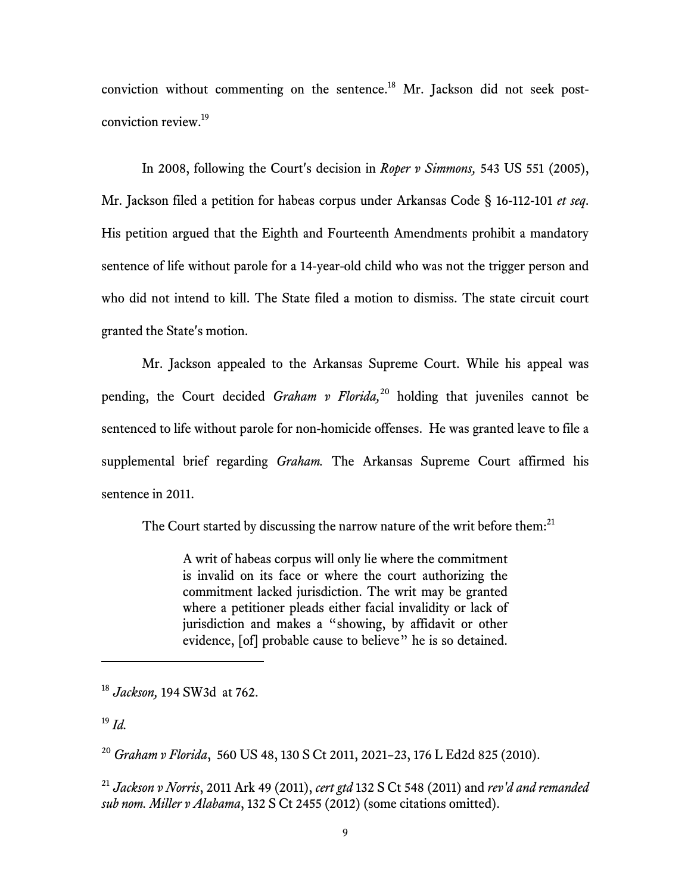conviction without commenting on the sentence.<sup>18</sup> Mr. Jackson did not seek postconviction review.19

In 2008, following the Court's decision in *Roper v Simmons,* 543 US 551 (2005), Mr. Jackson filed a petition for habeas corpus under Arkansas Code § 16-112-101 *et seq*. His petition argued that the Eighth and Fourteenth Amendments prohibit a mandatory sentence of life without parole for a 14-year-old child who was not the trigger person and who did not intend to kill. The State filed a motion to dismiss. The state circuit court granted the State's motion.

Mr. Jackson appealed to the Arkansas Supreme Court. While his appeal was pending, the Court decided *Graham v Florida,*<sup>20</sup> holding that juveniles cannot be sentenced to life without parole for non-homicide offenses. He was granted leave to file a supplemental brief regarding *Graham.* The Arkansas Supreme Court affirmed his sentence in 2011.

The Court started by discussing the narrow nature of the writ before them: $^{21}$ 

A writ of habeas corpus will only lie where the commitment is invalid on its face or where the court authorizing the commitment lacked jurisdiction. The writ may be granted where a petitioner pleads either facial invalidity or lack of jurisdiction and makes a "showing, by affidavit or other evidence, [of] probable cause to believe" he is so detained.

<sup>19</sup> *Id.*

.

<sup>21</sup> *Jackson v Norris*, 2011 Ark 49 (2011), *cert gtd* 132 S Ct 548 (2011) and *rev'd and remanded sub nom. Miller v Alabama*, 132 S Ct 2455 (2012) (some citations omitted).

<sup>18</sup> *Jackson,* 194 SW3d at 762.

<sup>20</sup> *Graham v Florida*, 560 US 48, 130 S Ct 2011, 2021–23, 176 L Ed2d 825 (2010).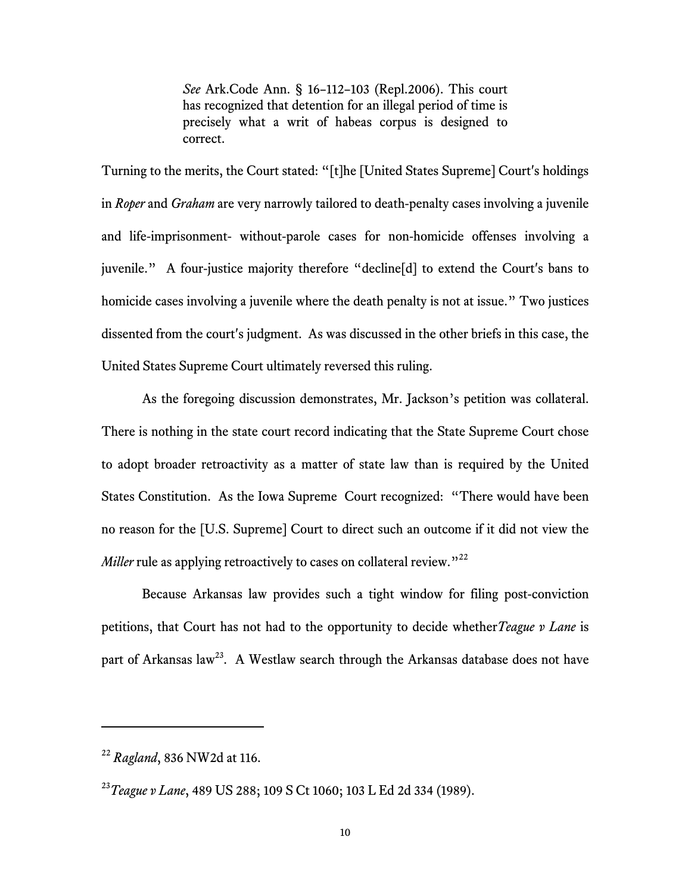*See* Ark.Code Ann. § 16–112–103 (Repl.2006). This court has recognized that detention for an illegal period of time is precisely what a writ of habeas corpus is designed to correct.

Turning to the merits, the Court stated: "[t]he [United States Supreme] Court's holdings in *Roper* and *Graham* are very narrowly tailored to death-penalty cases involving a juvenile and life-imprisonment- without-parole cases for non-homicide offenses involving a juvenile." A four-justice majority therefore "decline[d] to extend the Court's bans to homicide cases involving a juvenile where the death penalty is not at issue." Two justices dissented from the court's judgment. As was discussed in the other briefs in this case, the United States Supreme Court ultimately reversed this ruling.

As the foregoing discussion demonstrates, Mr. Jackson's petition was collateral. There is nothing in the state court record indicating that the State Supreme Court chose to adopt broader retroactivity as a matter of state law than is required by the United States Constitution. As the Iowa Supreme Court recognized: "There would have been no reason for the [U.S. Supreme] Court to direct such an outcome if it did not view the *Miller* rule as applying retroactively to cases on collateral review."<sup>22</sup>

Because Arkansas law provides such a tight window for filing post-conviction petitions, that Court has not had to the opportunity to decide whether*Teague v Lane* is part of Arkansas law<sup>23</sup>. A Westlaw search through the Arkansas database does not have

<sup>22</sup> *Ragland*, 836 NW2d at 116.

<sup>23</sup>*Teague v Lane*, 489 US 288; 109 S Ct 1060; 103 L Ed 2d 334 (1989).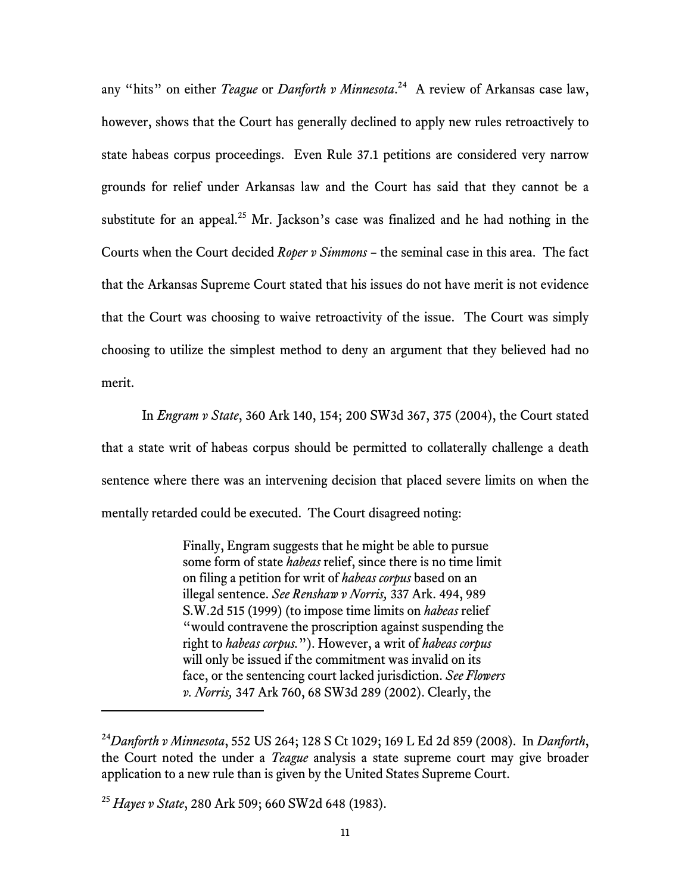any "hits" on either *Teague* or *Danforth v Minnesota*. 24 A review of Arkansas case law, however, shows that the Court has generally declined to apply new rules retroactively to state habeas corpus proceedings. Even Rule 37.1 petitions are considered very narrow grounds for relief under Arkansas law and the Court has said that they cannot be a substitute for an appeal.<sup>25</sup> Mr. Jackson's case was finalized and he had nothing in the Courts when the Court decided *Roper v Simmons* – the seminal case in this area. The fact that the Arkansas Supreme Court stated that his issues do not have merit is not evidence that the Court was choosing to waive retroactivity of the issue. The Court was simply choosing to utilize the simplest method to deny an argument that they believed had no merit.

In *Engram v State*, 360 Ark 140, 154; 200 SW3d 367, 375 (2004), the Court stated that a state writ of habeas corpus should be permitted to collaterally challenge a death sentence where there was an intervening decision that placed severe limits on when the mentally retarded could be executed. The Court disagreed noting:

> Finally, Engram suggests that he might be able to pursue some form of state *habeas* relief, since there is no time limit on filing a petition for writ of *habeas corpus* based on an illegal sentence. *See Renshaw v Norris,* 337 Ark. 494, 989 S.W.2d 515 (1999) (to impose time limits on *habeas* relief "would contravene the proscription against suspending the right to *habeas corpus.*"). However, a writ of *habeas corpus* will only be issued if the commitment was invalid on its face, or the sentencing court lacked jurisdiction. *See Flowers v. Norris,* 347 Ark 760, 68 SW3d 289 (2002). Clearly, the

<sup>24</sup>*Danforth v Minnesota*, 552 US 264; 128 S Ct 1029; 169 L Ed 2d 859 (2008). In *Danforth*, the Court noted the under a *Teague* analysis a state supreme court may give broader application to a new rule than is given by the United States Supreme Court.

<sup>25</sup> *Hayes v State*, 280 Ark 509; 660 SW2d 648 (1983).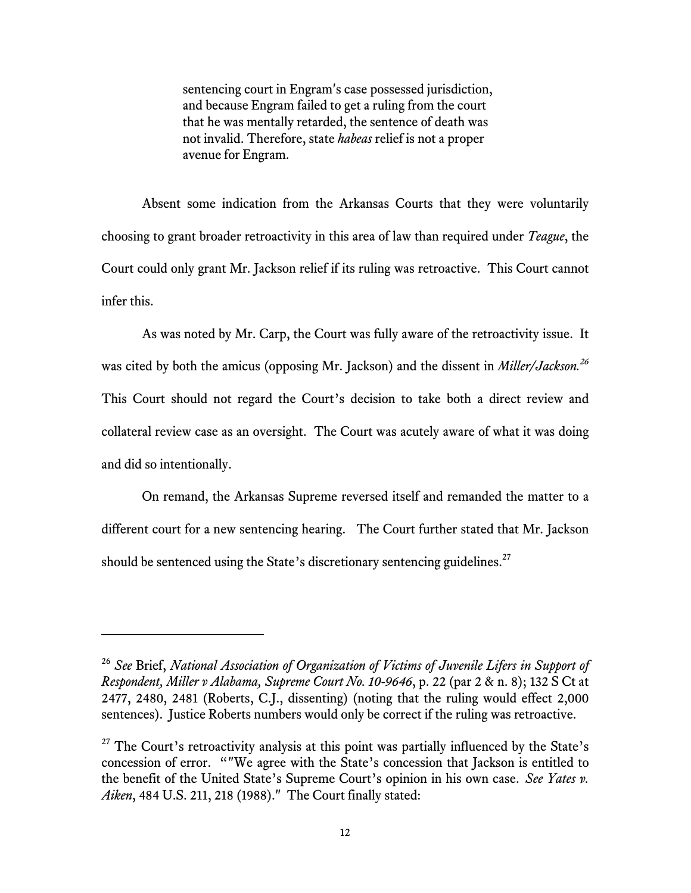sentencing court in Engram's case possessed jurisdiction, and because Engram failed to get a ruling from the court that he was mentally retarded, the sentence of death was not invalid. Therefore, state *habeas* relief is not a proper avenue for Engram.

Absent some indication from the Arkansas Courts that they were voluntarily choosing to grant broader retroactivity in this area of law than required under *Teague*, the Court could only grant Mr. Jackson relief if its ruling was retroactive. This Court cannot infer this.

As was noted by Mr. Carp, the Court was fully aware of the retroactivity issue. It was cited by both the amicus (opposing Mr. Jackson) and the dissent in *Miller/Jackson*.<sup>26</sup> This Court should not regard the Court's decision to take both a direct review and collateral review case as an oversight. The Court was acutely aware of what it was doing and did so intentionally.

On remand, the Arkansas Supreme reversed itself and remanded the matter to a different court for a new sentencing hearing. The Court further stated that Mr. Jackson should be sentenced using the State's discretionary sentencing guidelines.<sup>27</sup>

<sup>26</sup> *See* Brief, *National Association of Organization of Victims of Juvenile Lifers in Support of Respondent, Miller v Alabama, Supreme Court No. 10-9646*, p. 22 (par 2 & n. 8); 132 S Ct at 2477, 2480, 2481 (Roberts, C.J., dissenting) (noting that the ruling would effect 2,000 sentences). Justice Roberts numbers would only be correct if the ruling was retroactive.

 $27$  The Court's retroactivity analysis at this point was partially influenced by the State's concession of error. ""We agree with the State's concession that Jackson is entitled to the benefit of the United State's Supreme Court's opinion in his own case. *See Yates v. Aiken*, 484 U.S. 211, 218 (1988)." The Court finally stated: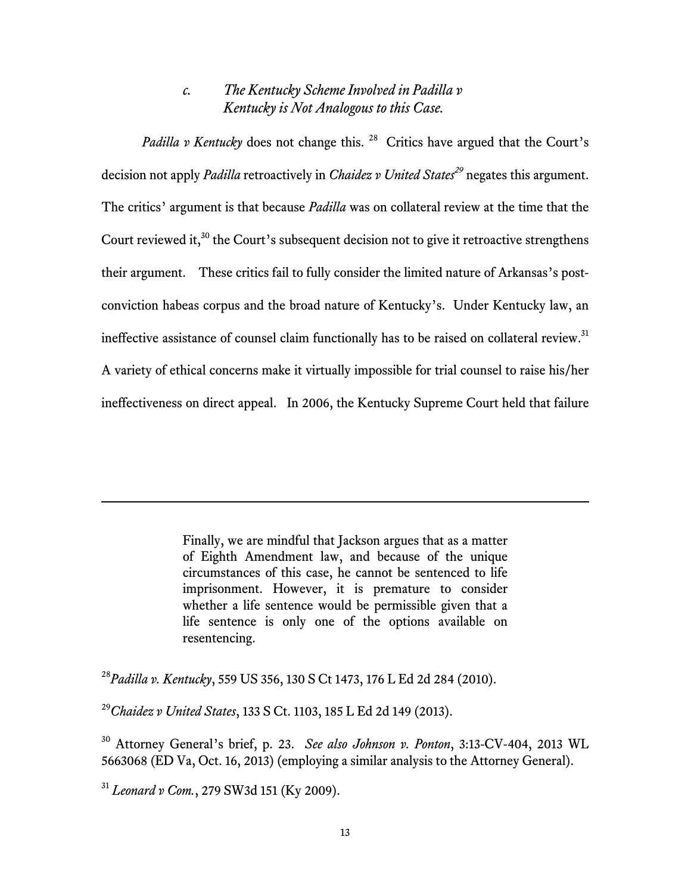## *c. The Kentucky Scheme Involved in Padilla v Kentucky is Not Analogous to this Case.*

*Padilla v Kentucky* does not change this. <sup>28</sup> Critics have argued that the Court's decision not apply *Padilla* retroactively in *Chaidez v United States<sup>29</sup>* negates this argument. The critics' argument is that because *Padilla* was on collateral review at the time that the Court reviewed it,<sup>30</sup> the Court's subsequent decision not to give it retroactive strengthens their argument. These critics fail to fully consider the limited nature of Arkansas's postconviction habeas corpus and the broad nature of Kentucky's. Under Kentucky law, an ineffective assistance of counsel claim functionally has to be raised on collateral review. $31$ A variety of ethical concerns make it virtually impossible for trial counsel to raise his/her ineffectiveness on direct appeal. In 2006, the Kentucky Supreme Court held that failure

> Finally, we are mindful that Jackson argues that as a matter of Eighth Amendment law, and because of the unique circumstances of this case, he cannot be sentenced to life imprisonment. However, it is premature to consider whether a life sentence would be permissible given that a life sentence is only one of the options available on resentencing.

<sup>28</sup>*Padilla v. Kentucky*, 559 US 356, 130 S Ct 1473, 176 L Ed 2d 284 (2010).

<sup>29</sup>*Chaidez v United States*, 133 S Ct. 1103, 185 L Ed 2d 149 (2013).

<sup>30</sup> Attorney General's brief, p. 23. *See also Johnson v. Ponton*, 3:13-CV-404, 2013 WL 5663068 (ED Va, Oct. 16, 2013) (employing a similar analysis to the Attorney General).

<sup>31</sup> *Leonard v Com.*, 279 SW3d 151 (Ky 2009).

l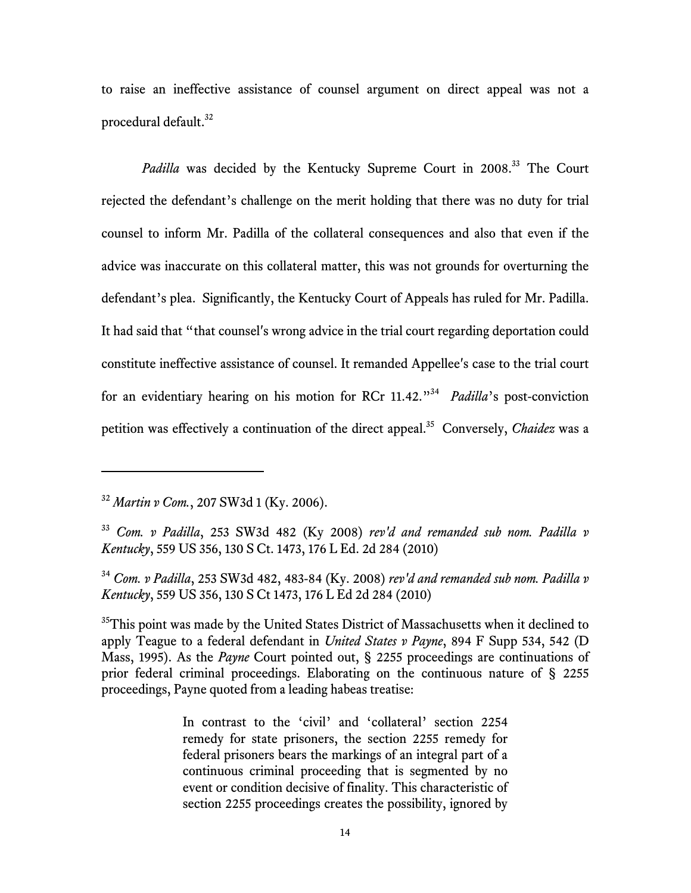to raise an ineffective assistance of counsel argument on direct appeal was not a procedural default.<sup>32</sup>

*Padilla* was decided by the Kentucky Supreme Court in 2008.<sup>33</sup> The Court rejected the defendant's challenge on the merit holding that there was no duty for trial counsel to inform Mr. Padilla of the collateral consequences and also that even if the advice was inaccurate on this collateral matter, this was not grounds for overturning the defendant's plea. Significantly, the Kentucky Court of Appeals has ruled for Mr. Padilla. It had said that "that counsel's wrong advice in the trial court regarding deportation could constitute ineffective assistance of counsel. It remanded Appellee's case to the trial court for an evidentiary hearing on his motion for RCr 11.42."34 *Padilla*'s post-conviction petition was effectively a continuation of the direct appeal.35 Conversely, *Chaidez* was a

j

 $35$ This point was made by the United States District of Massachusetts when it declined to apply Teague to a federal defendant in *United States v Payne*, 894 F Supp 534, 542 (D Mass, 1995). As the *Payne* Court pointed out, § 2255 proceedings are continuations of prior federal criminal proceedings. Elaborating on the continuous nature of § 2255 proceedings, Payne quoted from a leading habeas treatise:

> In contrast to the 'civil' and 'collateral' section 2254 remedy for state prisoners, the section 2255 remedy for federal prisoners bears the markings of an integral part of a continuous criminal proceeding that is segmented by no event or condition decisive of finality. This characteristic of section 2255 proceedings creates the possibility, ignored by

<sup>32</sup> *Martin v Com.*, 207 SW3d 1 (Ky. 2006).

<sup>33</sup> *Com. v Padilla*, 253 SW3d 482 (Ky 2008) *rev'd and remanded sub nom. Padilla v Kentucky*, 559 US 356, 130 S Ct. 1473, 176 L Ed. 2d 284 (2010)

<sup>34</sup> *Com. v Padilla*, 253 SW3d 482, 483-84 (Ky. 2008) *rev'd and remanded sub nom. Padilla v Kentucky*, 559 US 356, 130 S Ct 1473, 176 L Ed 2d 284 (2010)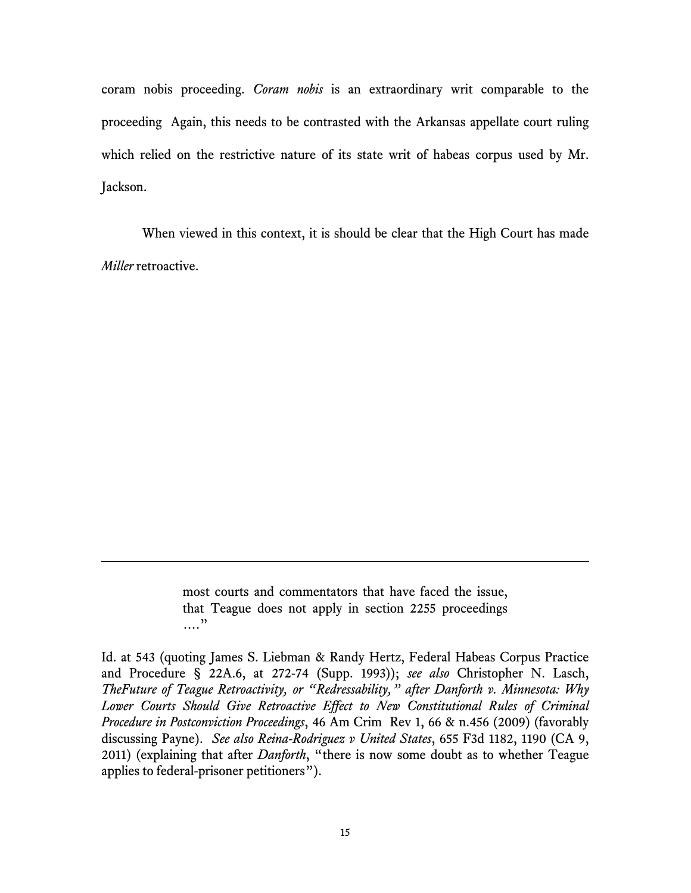coram nobis proceeding. *Coram nobis* is an extraordinary writ comparable to the proceeding Again, this needs to be contrasted with the Arkansas appellate court ruling which relied on the restrictive nature of its state writ of habeas corpus used by Mr. Jackson.

When viewed in this context, it is should be clear that the High Court has made *Miller* retroactive.

> most courts and commentators that have faced the issue, that Teague does not apply in section 2255 proceedings …."

.

Id. at 543 (quoting James S. Liebman & Randy Hertz, Federal Habeas Corpus Practice and Procedure § 22A.6, at 272-74 (Supp. 1993)); *see also* Christopher N. Lasch, *TheFuture of Teague Retroactivity, or "Redressability," after Danforth v. Minnesota: Why Lower Courts Should Give Retroactive Effect to New Constitutional Rules of Criminal Procedure in Postconviction Proceedings*, 46 Am Crim Rev 1, 66 & n.456 (2009) (favorably discussing Payne). *See also Reina-Rodriguez v United States*, 655 F3d 1182, 1190 (CA 9, 2011) (explaining that after *Danforth*, "there is now some doubt as to whether Teague applies to federal-prisoner petitioners").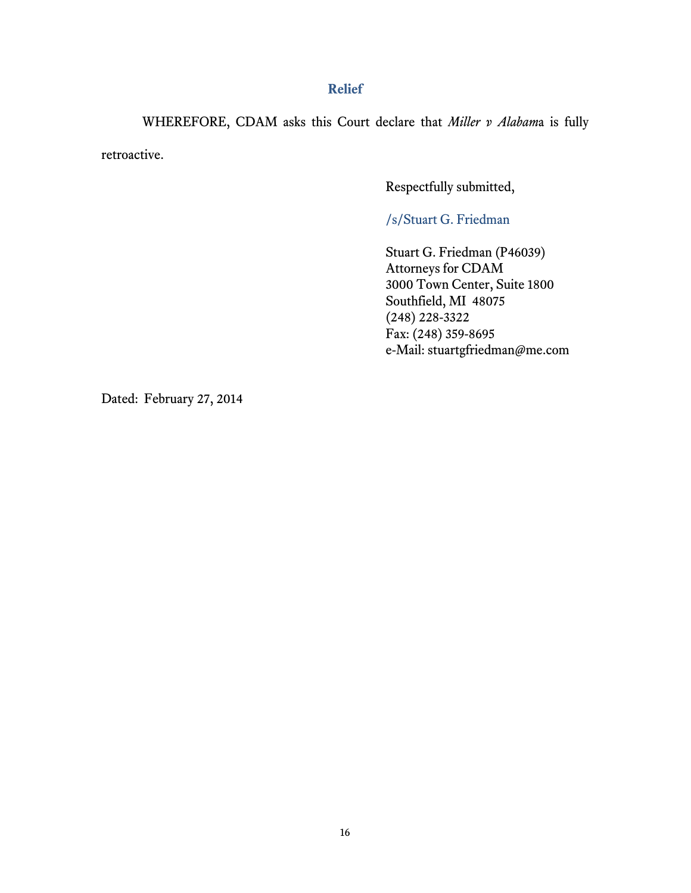### **Relief**

WHEREFORE, CDAM asks this Court declare that *Miller v Alabam*a is fully retroactive.

Respectfully submitted,

/s/Stuart G. Friedman

Stuart G. Friedman (P46039) Attorneys for CDAM 3000 Town Center, Suite 1800 Southfield, MI 48075 (248) 228-3322 Fax: (248) 359-8695 e-Mail: stuartgfriedman@me.com

Dated: February 27, 2014